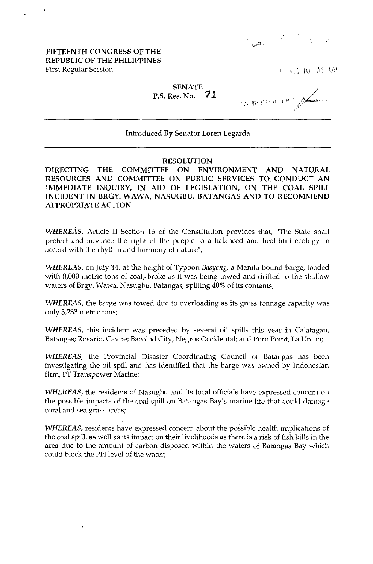# 

## FIFTEENTH CONGRESS OF THE REPUBLIC OF THE PHILIPPINES First Regular Session

A.S. 10 AS UY

# SENATE P.S. Res. No. **71**

OF BOUT THE A

### Introduced By Senator Loren Legarda

#### RESOLUTION

DIRECTING THE COMMITTEE ON ENVIRONMENT AND NATURAL RESOURCES AND COMMITTEE ON PUBLIC SERVICES TO. CONDUCT AN IMMEDIATE INQUIRY, IN AID OF LEGISLATION, ON THE COAL SPILL INCIDENT IN BRGY. WAWA, NASUGBU, BATANGAS AND TO RECOMMEND APPROPRIATE ACTION

WHEREAS, Article II Section 16 of the Constitution provides that, "The State shall protect and advance the right of the people to a balanced and healthful ecology in accord with the rhythm and harmony of nature";

WHEREAS, on July 14, at the height of Typoon *Basyang,* a Manila-bound barge, loaded with 8,000 metric tons of coal, broke as it was being towed and drifted to the shallow waters of Brgy. Wawa, Nasugbu, Batangas, spilling 40% of its contents;

WHEREAS, the barge was towed due to overloading as its gross tonnage capacity was only 3,233 metric tons;

WHEREAS, this incident was preceded by several oil spills this year in Calatagan, Batangas; Rosario, Cavite; Bacolod City, Negros Occidental; and Poro Point, La Union;

WHEREAS, the Provincial Disaster Coordinating Council of Batangas has been investigating the oil spill and has identified that the barge was owned by Indonesian firm, PI Transpower Marine;

WHEREAS, the residents of Nasugbu and its local officials have expressed concern on the possible impacts of the coal spill on Batangas Bay's marine life that could damage coral and sea grass areas;

WHEREAS, residents have expressed concern about the possible health implications of the coal spill, as well as its impact on their livelihoods as there is a risk of fish kills in the area due to the amount of carbon disposed within the waters of Batangas Bay which could block the PH level of the water;